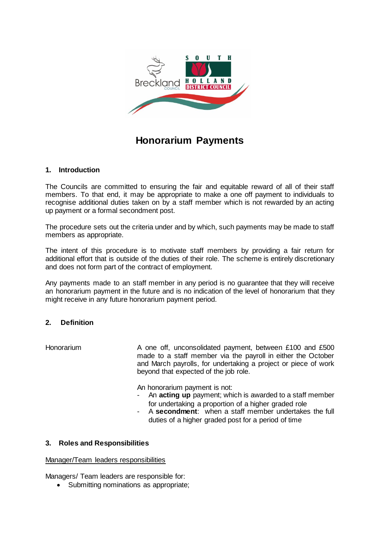

# **Honorarium Payments**

#### **1. Introduction**

The Councils are committed to ensuring the fair and equitable reward of all of their staff members. To that end, it may be appropriate to make a one off payment to individuals to recognise additional duties taken on by a staff member which is not rewarded by an acting up payment or a formal secondment post.

The procedure sets out the criteria under and by which, such payments may be made to staff members as appropriate.

The intent of this procedure is to motivate staff members by providing a fair return for additional effort that is outside of the duties of their role. The scheme is entirely discretionary and does not form part of the contract of employment.

Any payments made to an staff member in any period is no guarantee that they will receive an honorarium payment in the future and is no indication of the level of honorarium that they might receive in any future honorarium payment period.

### **2. Definition**

Honorarium **A** one off, unconsolidated payment, between £100 and £500 made to a staff member via the payroll in either the October and March payrolls, for undertaking a project or piece of work beyond that expected of the job role.

An honorarium payment is not:

- An **acting up** payment; which is awarded to a staff member for undertaking a proportion of a higher graded role
- A **secondment**: when a staff member undertakes the full duties of a higher graded post for a period of time

#### **3. Roles and Responsibilities**

#### Manager/Team leaders responsibilities

Managers/ Team leaders are responsible for:

• Submitting nominations as appropriate;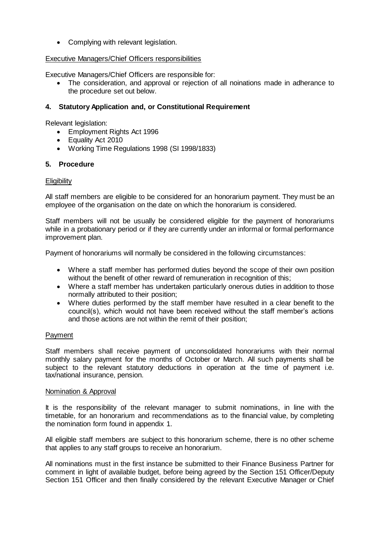• Complying with relevant legislation.

#### Executive Managers/Chief Officers responsibilities

Executive Managers/Chief Officers are responsible for:

 The consideration, and approval or rejection of all noinations made in adherance to the procedure set out below.

#### **4. Statutory Application and, or Constitutional Requirement**

Relevant legislation:

- Employment Rights Act 1996
- Equality Act 2010
- Working Time Regulations 1998 (SI 1998/1833)

#### **5. Procedure**

#### **Eligibility**

All staff members are eligible to be considered for an honorarium payment. They must be an employee of the organisation on the date on which the honorarium is considered.

Staff members will not be usually be considered eligible for the payment of honorariums while in a probationary period or if they are currently under an informal or formal performance improvement plan.

Payment of honorariums will normally be considered in the following circumstances:

- Where a staff member has performed duties beyond the scope of their own position without the benefit of other reward of remuneration in recognition of this;
- Where a staff member has undertaken particularly onerous duties in addition to those normally attributed to their position;
- Where duties performed by the staff member have resulted in a clear benefit to the council(s), which would not have been received without the staff member's actions and those actions are not within the remit of their position;

#### Payment

Staff members shall receive payment of unconsolidated honorariums with their normal monthly salary payment for the months of October or March. All such payments shall be subject to the relevant statutory deductions in operation at the time of payment i.e. tax/national insurance, pension.

#### Nomination & Approval

It is the responsibility of the relevant manager to submit nominations, in line with the timetable, for an honorarium and recommendations as to the financial value, by completing the nomination form found in appendix 1.

All eligible staff members are subject to this honorarium scheme, there is no other scheme that applies to any staff groups to receive an honorarium.

All nominations must in the first instance be submitted to their Finance Business Partner for comment in light of available budget, before being agreed by the Section 151 Officer/Deputy Section 151 Officer and then finally considered by the relevant Executive Manager or Chief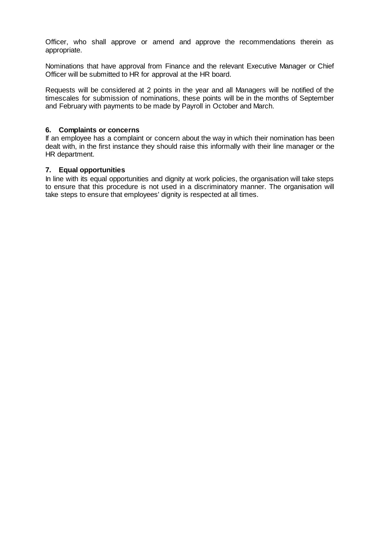Officer, who shall approve or amend and approve the recommendations therein as appropriate.

Nominations that have approval from Finance and the relevant Executive Manager or Chief Officer will be submitted to HR for approval at the HR board.

Requests will be considered at 2 points in the year and all Managers will be notified of the timescales for submission of nominations, these points will be in the months of September and February with payments to be made by Payroll in October and March.

#### **6. Complaints or concerns**

If an employee has a complaint or concern about the way in which their nomination has been dealt with, in the first instance they should raise this informally with their line manager or the HR department.

#### **7. Equal opportunities**

In line with its equal opportunities and dignity at work policies, the organisation will take steps to ensure that this procedure is not used in a discriminatory manner. The organisation will take steps to ensure that employees' dignity is respected at all times.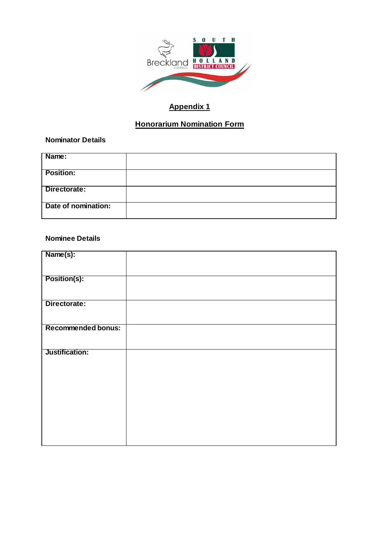

# **Appendix 1**

# **Honorarium Nomination Form**

#### **Nominator Details**

| Name:               |  |
|---------------------|--|
| <b>Position:</b>    |  |
| Directorate:        |  |
| Date of nomination: |  |

#### **Nominee Details**

| Name(s):                  |  |
|---------------------------|--|
| <b>Position(s):</b>       |  |
| Directorate:              |  |
|                           |  |
| <b>Recommended bonus:</b> |  |
| Justification:            |  |
|                           |  |
|                           |  |
|                           |  |
|                           |  |
|                           |  |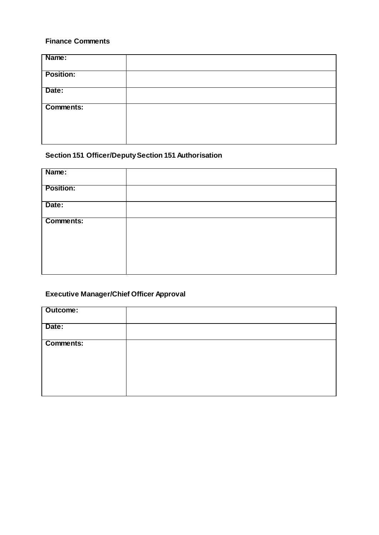## **Finance Comments**

| Name:            |  |
|------------------|--|
| <b>Position:</b> |  |
| Date:            |  |
| <b>Comments:</b> |  |
|                  |  |
|                  |  |

## **Section 151 Officer/Deputy Section 151 Authorisation**

| Name:            |  |
|------------------|--|
| <b>Position:</b> |  |
| Date:            |  |
| <b>Comments:</b> |  |

## **Executive Manager/Chief Officer Approval**

| Outcome:  |  |
|-----------|--|
| Date:     |  |
| Comments: |  |
|           |  |